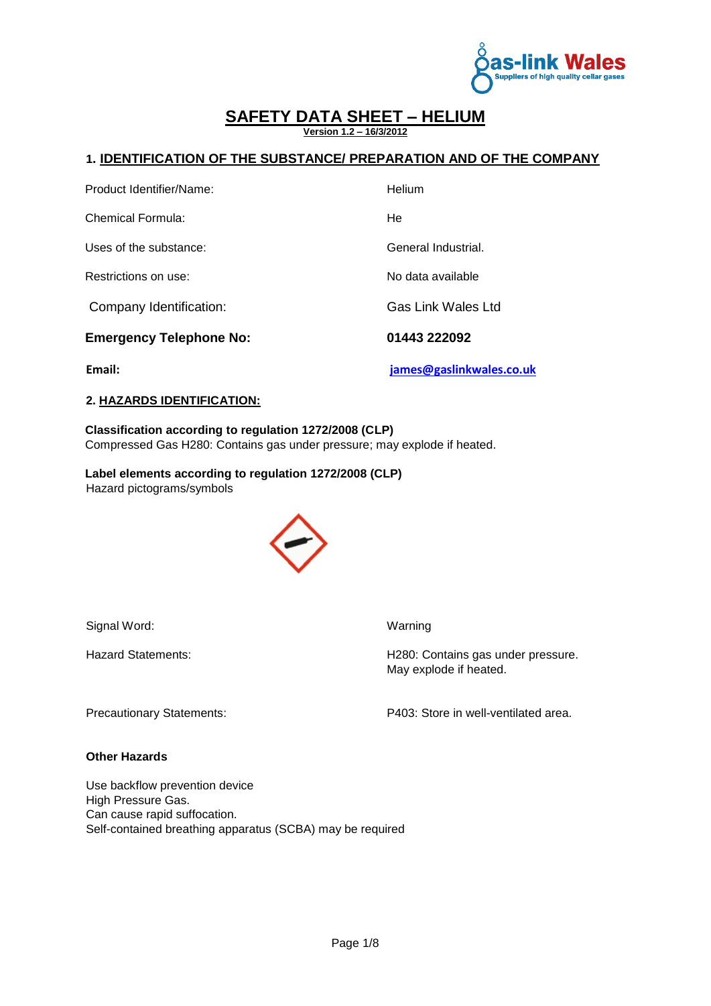

**Version 1.2 – 16/3/2012**

### **1. IDENTIFICATION OF THE SUBSTANCE/ PREPARATION AND OF THE COMPANY**

| Email:                         | james@gaslinkwales.co.uk  |
|--------------------------------|---------------------------|
| <b>Emergency Telephone No:</b> | 01443 222092              |
| Company Identification:        | <b>Gas Link Wales Ltd</b> |
| Restrictions on use:           | No data available         |
| Uses of the substance:         | General Industrial.       |
| Chemical Formula:              | He                        |
| Product Identifier/Name:       | Helium                    |

## **2. HAZARDS IDENTIFICATION:**

### **Classification according to regulation 1272/2008 (CLP)**  Compressed Gas H280: Contains gas under pressure; may explode if heated.

**Label elements according to regulation 1272/2008 (CLP)**  Hazard pictograms/symbols



Signal Word: Warning

Hazard Statements: **H280: Contains gas under pressure.** May explode if heated.

Precautionary Statements: P403: Store in well-ventilated area.

**Other Hazards**

Use backflow prevention device High Pressure Gas. Can cause rapid suffocation. Self-contained breathing apparatus (SCBA) may be required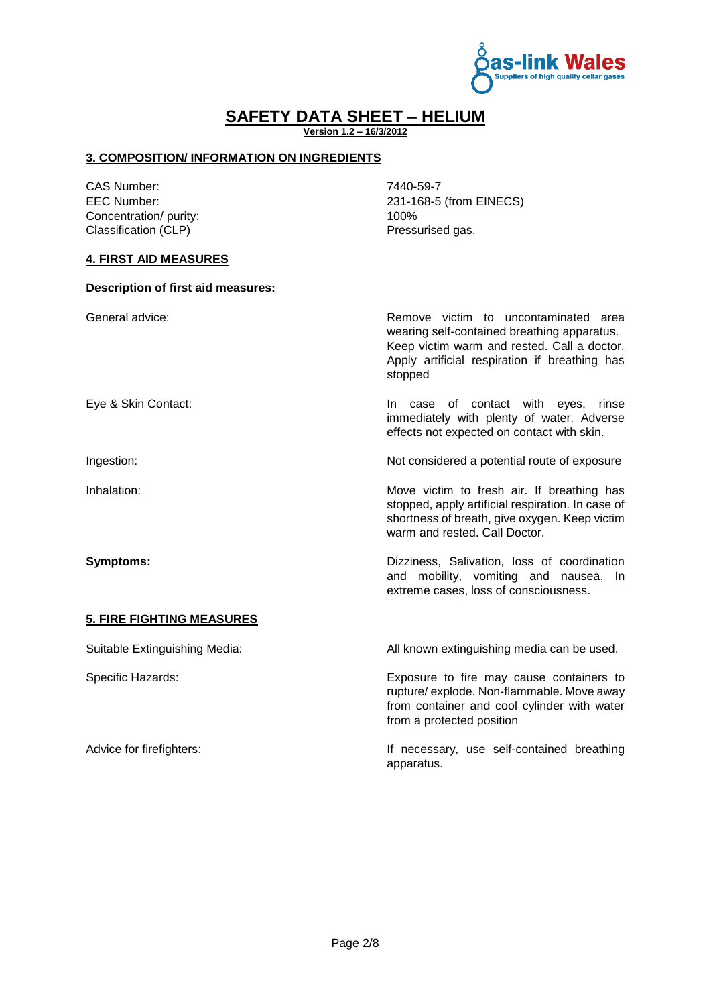

**Version 1.2 – 16/3/2012**

### **3. COMPOSITION/ INFORMATION ON INGREDIENTS**

CAS Number: 7440-59-7 Concentration/ purity: 100%<br>
Classification (CLP) Tressurised gas. Classification (CLP)

EEC Number: 231-168-5 (from EINECS)<br>Concentration/ purity: 100%

### **4. FIRST AID MEASURES**

| <b>Description of first aid measures:</b> |                                                                                                                                                                                                |
|-------------------------------------------|------------------------------------------------------------------------------------------------------------------------------------------------------------------------------------------------|
| General advice:                           | Remove victim to uncontaminated area<br>wearing self-contained breathing apparatus.<br>Keep victim warm and rested. Call a doctor.<br>Apply artificial respiration if breathing has<br>stopped |
| Eye & Skin Contact:                       | In case of contact with eyes, rinse<br>immediately with plenty of water. Adverse<br>effects not expected on contact with skin.                                                                 |
| Ingestion:                                | Not considered a potential route of exposure                                                                                                                                                   |
| Inhalation:                               | Move victim to fresh air. If breathing has<br>stopped, apply artificial respiration. In case of<br>shortness of breath, give oxygen. Keep victim<br>warm and rested. Call Doctor.              |
| <b>Symptoms:</b>                          | Dizziness, Salivation, loss of coordination<br>and mobility, vomiting and nausea. In<br>extreme cases, loss of consciousness.                                                                  |
| <b>5. FIRE FIGHTING MEASURES</b>          |                                                                                                                                                                                                |
| Suitable Extinguishing Media:             | All known extinguishing media can be used.                                                                                                                                                     |
| Specific Hazards:                         | Exposure to fire may cause containers to<br>rupture/explode. Non-flammable. Move away<br>from container and cool cylinder with water<br>from a protected position                              |
| Advice for firefighters:                  | If necessary, use self-contained breathing<br>apparatus.                                                                                                                                       |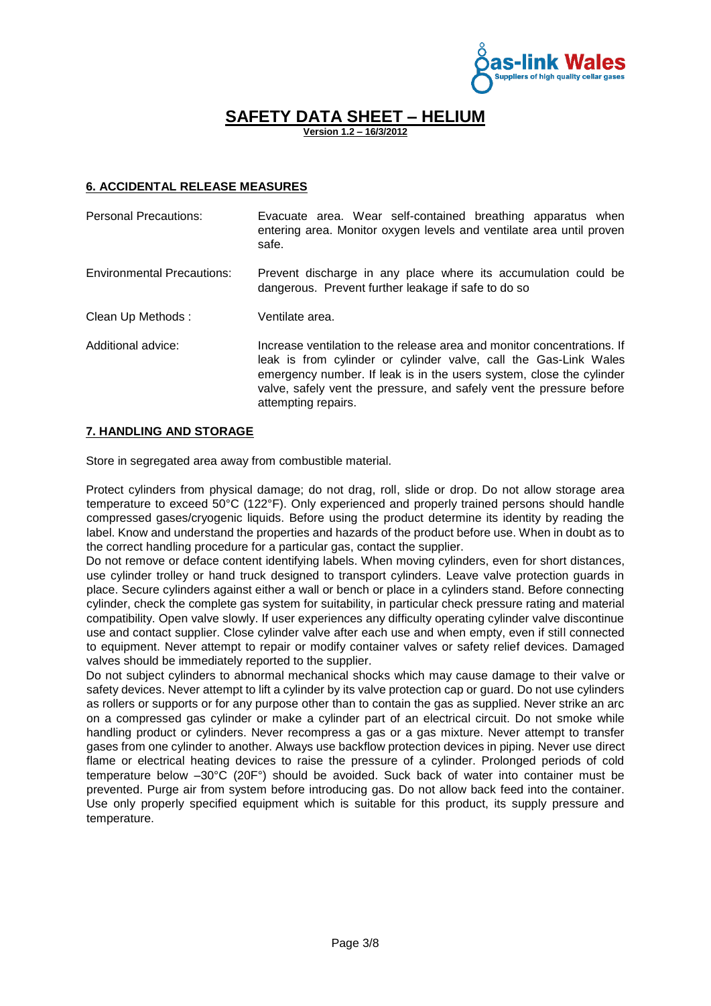

**Version 1.2 – 16/3/2012**

### **6. ACCIDENTAL RELEASE MEASURES**

| <b>Personal Precautions:</b>      | Evacuate area. Wear self-contained breathing apparatus when<br>entering area. Monitor oxygen levels and ventilate area until proven<br>safe.                                                                                                                                                                       |
|-----------------------------------|--------------------------------------------------------------------------------------------------------------------------------------------------------------------------------------------------------------------------------------------------------------------------------------------------------------------|
| <b>Environmental Precautions:</b> | Prevent discharge in any place where its accumulation could be<br>dangerous. Prevent further leakage if safe to do so                                                                                                                                                                                              |
| Clean Up Methods:                 | Ventilate area.                                                                                                                                                                                                                                                                                                    |
| Additional advice:                | Increase ventilation to the release area and monitor concentrations. If<br>leak is from cylinder or cylinder valve, call the Gas-Link Wales<br>emergency number. If leak is in the users system, close the cylinder<br>valve, safely vent the pressure, and safely vent the pressure before<br>attempting repairs. |

#### **7. HANDLING AND STORAGE**

Store in segregated area away from combustible material.

Protect cylinders from physical damage; do not drag, roll, slide or drop. Do not allow storage area temperature to exceed 50°C (122°F). Only experienced and properly trained persons should handle compressed gases/cryogenic liquids. Before using the product determine its identity by reading the label. Know and understand the properties and hazards of the product before use. When in doubt as to the correct handling procedure for a particular gas, contact the supplier.

Do not remove or deface content identifying labels. When moving cylinders, even for short distances, use cylinder trolley or hand truck designed to transport cylinders. Leave valve protection guards in place. Secure cylinders against either a wall or bench or place in a cylinders stand. Before connecting cylinder, check the complete gas system for suitability, in particular check pressure rating and material compatibility. Open valve slowly. If user experiences any difficulty operating cylinder valve discontinue use and contact supplier. Close cylinder valve after each use and when empty, even if still connected to equipment. Never attempt to repair or modify container valves or safety relief devices. Damaged valves should be immediately reported to the supplier.

Do not subject cylinders to abnormal mechanical shocks which may cause damage to their valve or safety devices. Never attempt to lift a cylinder by its valve protection cap or guard. Do not use cylinders as rollers or supports or for any purpose other than to contain the gas as supplied. Never strike an arc on a compressed gas cylinder or make a cylinder part of an electrical circuit. Do not smoke while handling product or cylinders. Never recompress a gas or a gas mixture. Never attempt to transfer gases from one cylinder to another. Always use backflow protection devices in piping. Never use direct flame or electrical heating devices to raise the pressure of a cylinder. Prolonged periods of cold temperature below –30°C (20F°) should be avoided. Suck back of water into container must be prevented. Purge air from system before introducing gas. Do not allow back feed into the container. Use only properly specified equipment which is suitable for this product, its supply pressure and temperature.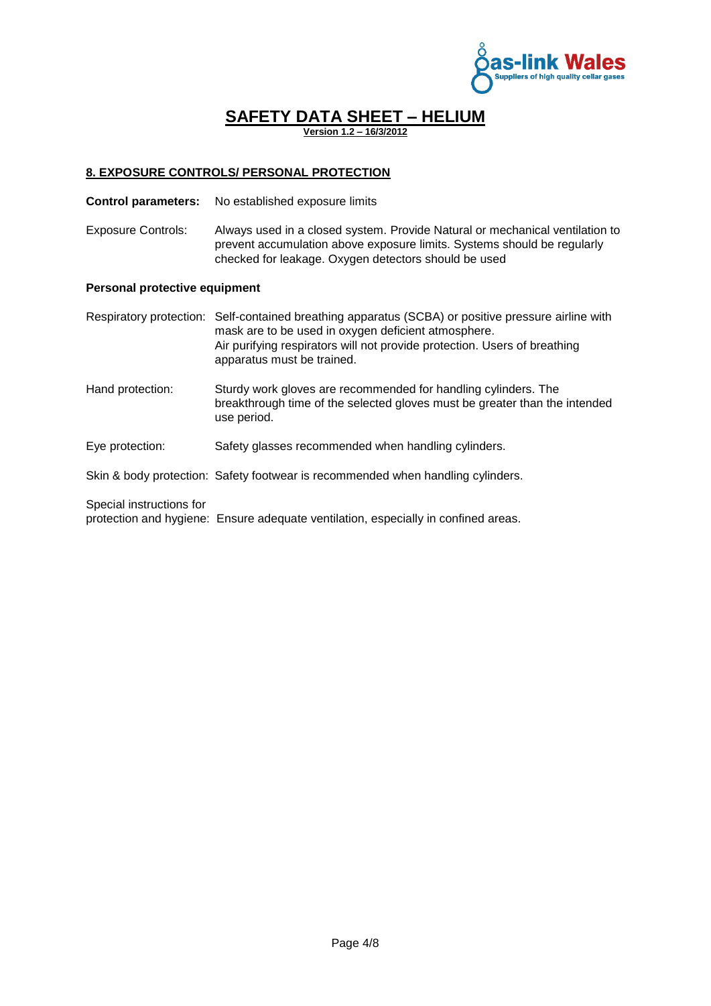

**Version 1.2 – 16/3/2012**

### **8. EXPOSURE CONTROLS/ PERSONAL PROTECTION**

- **Control parameters:** No established exposure limits
- Exposure Controls: Always used in a closed system. Provide Natural or mechanical ventilation to prevent accumulation above exposure limits. Systems should be regularly checked for leakage. Oxygen detectors should be used

#### **Personal protective equipment**

Respiratory protection: Self-contained breathing apparatus (SCBA) or positive pressure airline with mask are to be used in oxygen deficient atmosphere. Air purifying respirators will not provide protection. Users of breathing apparatus must be trained.

Hand protection: Sturdy work gloves are recommended for handling cylinders. The breakthrough time of the selected gloves must be greater than the intended use period.

#### Eye protection: Safety glasses recommended when handling cylinders.

Skin & body protection: Safety footwear is recommended when handling cylinders.

Special instructions for

protection and hygiene: Ensure adequate ventilation, especially in confined areas.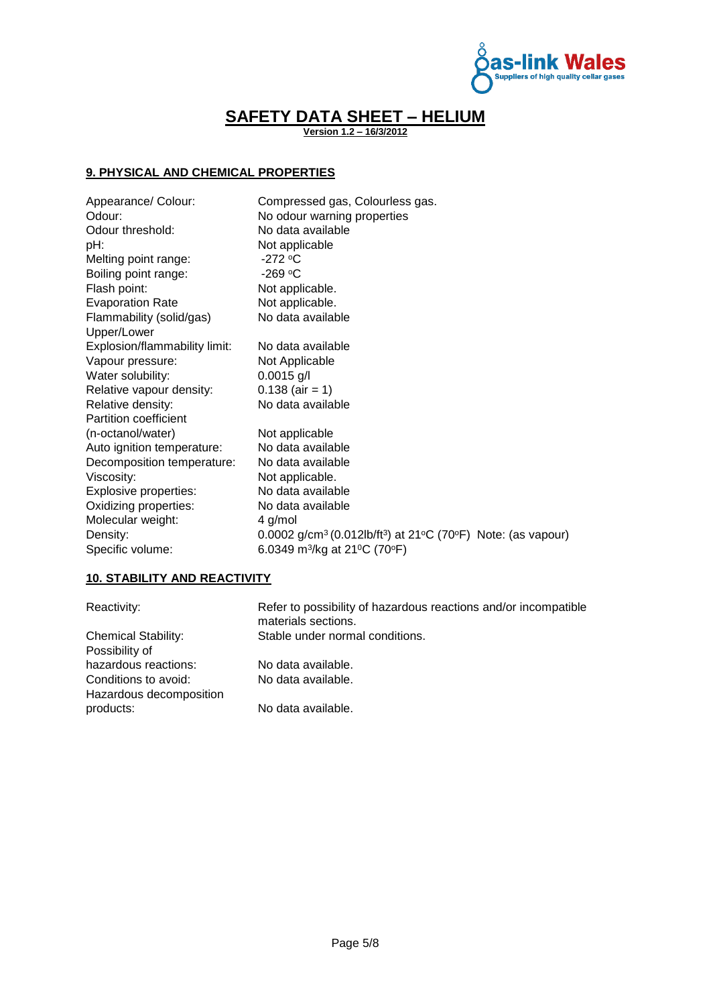

**Version 1.2 – 16/3/2012**

### **9. PHYSICAL AND CHEMICAL PROPERTIES**

| Appearance/ Colour:<br>Odour: | Compressed gas, Colourless gas.<br>No odour warning properties                                                 |
|-------------------------------|----------------------------------------------------------------------------------------------------------------|
| Odour threshold:              | No data available                                                                                              |
| pH:                           | Not applicable                                                                                                 |
| Melting point range:          | -272 $\rm ^{o}C$                                                                                               |
| Boiling point range:          | $-269$ °C                                                                                                      |
| Flash point:                  | Not applicable.                                                                                                |
| <b>Evaporation Rate</b>       | Not applicable.                                                                                                |
| Flammability (solid/gas)      | No data available                                                                                              |
| Upper/Lower                   |                                                                                                                |
| Explosion/flammability limit: | No data available                                                                                              |
| Vapour pressure:              | Not Applicable                                                                                                 |
| Water solubility:             | $0.0015$ g/l                                                                                                   |
| Relative vapour density:      | $0.138$ (air = 1)                                                                                              |
| Relative density:             | No data available                                                                                              |
| <b>Partition coefficient</b>  |                                                                                                                |
| (n-octanol/water)             | Not applicable                                                                                                 |
| Auto ignition temperature:    | No data available                                                                                              |
| Decomposition temperature:    | No data available                                                                                              |
| Viscosity:                    | Not applicable.                                                                                                |
| Explosive properties:         | No data available                                                                                              |
| Oxidizing properties:         | No data available                                                                                              |
| Molecular weight:             | 4 g/mol                                                                                                        |
| Density:                      | 0.0002 g/cm <sup>3</sup> (0.012lb/ft <sup>3</sup> ) at 21 <sup>o</sup> C (70 <sup>o</sup> F) Note: (as vapour) |
| Specific volume:              | 6.0349 m <sup>3</sup> /kg at 21 <sup>o</sup> C (70 <sup>o</sup> F)                                             |

### **10. STABILITY AND REACTIVITY**

| Reactivity:                                     | Refer to possibility of hazardous reactions and/or incompatible<br>materials sections. |
|-------------------------------------------------|----------------------------------------------------------------------------------------|
| <b>Chemical Stability:</b>                      | Stable under normal conditions.                                                        |
| Possibility of                                  |                                                                                        |
| hazardous reactions:                            | No data available.                                                                     |
| Conditions to avoid:<br>Hazardous decomposition | No data available.                                                                     |
| products:                                       | No data available.                                                                     |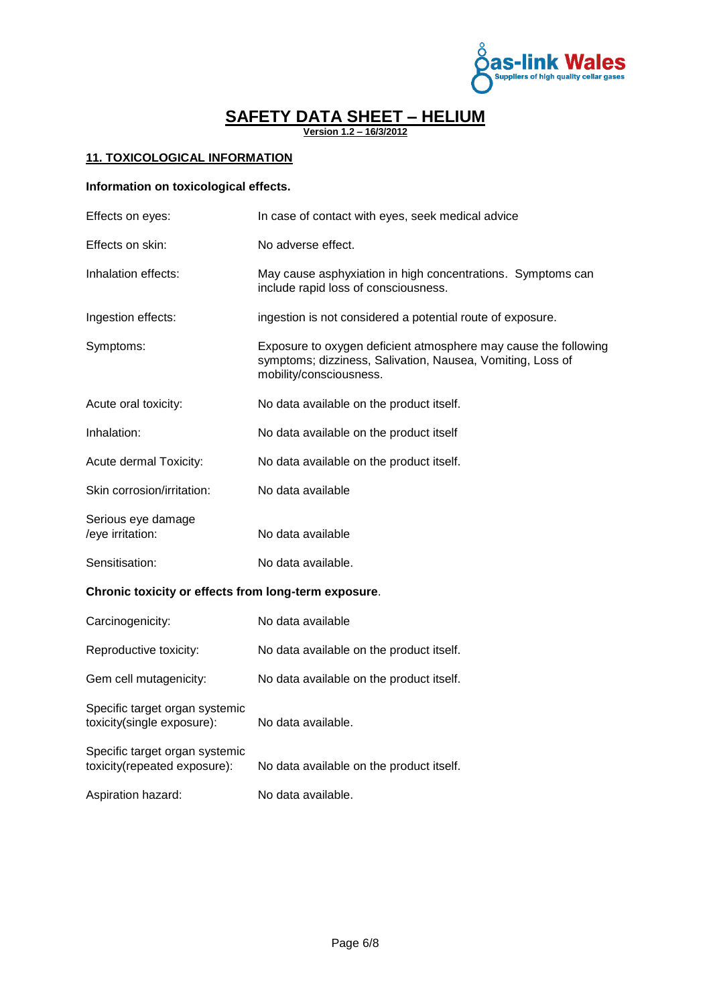

**Version 1.2 – 16/3/2012**

### **11. TOXICOLOGICAL INFORMATION**

### **Information on toxicological effects.**

| Effects on eyes:                       | In case of contact with eyes, seek medical advice                                                                                                        |
|----------------------------------------|----------------------------------------------------------------------------------------------------------------------------------------------------------|
| Effects on skin:                       | No adverse effect.                                                                                                                                       |
| Inhalation effects:                    | May cause asphyxiation in high concentrations. Symptoms can<br>include rapid loss of consciousness.                                                      |
| Ingestion effects:                     | ingestion is not considered a potential route of exposure.                                                                                               |
| Symptoms:                              | Exposure to oxygen deficient atmosphere may cause the following<br>symptoms; dizziness, Salivation, Nausea, Vomiting, Loss of<br>mobility/consciousness. |
| Acute oral toxicity:                   | No data available on the product itself.                                                                                                                 |
| Inhalation:                            | No data available on the product itself                                                                                                                  |
| Acute dermal Toxicity:                 | No data available on the product itself.                                                                                                                 |
| Skin corrosion/irritation:             | No data available                                                                                                                                        |
| Serious eye damage<br>/eye irritation: | No data available                                                                                                                                        |
| Sensitisation:                         | No data available.                                                                                                                                       |
|                                        |                                                                                                                                                          |

### **Chronic toxicity or effects from long-term exposure**.

| Carcinogenicity:                                               | No data available                        |
|----------------------------------------------------------------|------------------------------------------|
| Reproductive toxicity:                                         | No data available on the product itself. |
| Gem cell mutagenicity:                                         | No data available on the product itself. |
| Specific target organ systemic<br>toxicity(single exposure):   | No data available.                       |
| Specific target organ systemic<br>toxicity(repeated exposure): | No data available on the product itself. |
| Aspiration hazard:                                             | No data available.                       |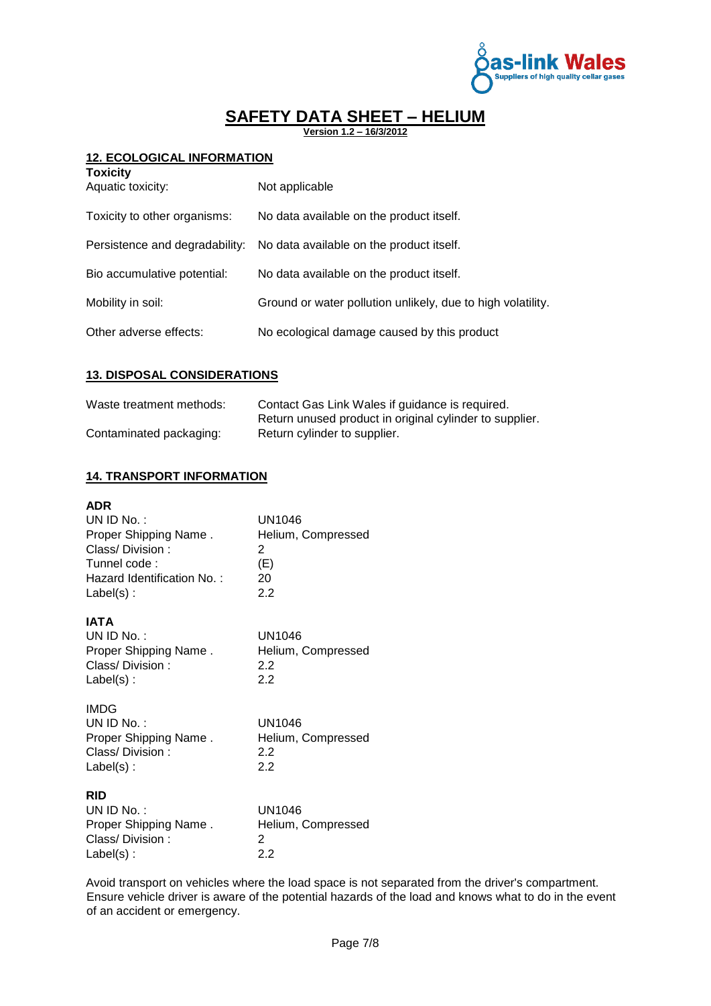

**Version 1.2 – 16/3/2012**

### **12. ECOLOGICAL INFORMATION**

| <b>Toxicity</b><br>Aquatic toxicity: | Not applicable                                                          |
|--------------------------------------|-------------------------------------------------------------------------|
| Toxicity to other organisms:         | No data available on the product itself.                                |
|                                      | Persistence and degradability: No data available on the product itself. |
| Bio accumulative potential:          | No data available on the product itself.                                |
| Mobility in soil:                    | Ground or water pollution unlikely, due to high volatility.             |
| Other adverse effects:               | No ecological damage caused by this product                             |

### **13. DISPOSAL CONSIDERATIONS**

| Waste treatment methods: | Contact Gas Link Wales if guidance is required.         |
|--------------------------|---------------------------------------------------------|
|                          | Return unused product in original cylinder to supplier. |
| Contaminated packaging:  | Return cylinder to supplier.                            |

### **14. TRANSPORT INFORMATION**

| <b>ADR</b><br>UN ID No.:<br>Proper Shipping Name.<br>Class/Division:<br>Tunnel code:<br>Hazard Identification No.:<br>$Label(s)$ : | UN1046<br>Helium, Compressed<br>2<br>(E)<br>20<br>2.2 |
|------------------------------------------------------------------------------------------------------------------------------------|-------------------------------------------------------|
| IATA<br>UN ID $No.$ :<br>Proper Shipping Name.<br>Class/Division:<br>$Label(s)$ :                                                  | UN1046<br>Helium, Compressed<br>2.2<br>22             |
| <b>IMDG</b><br>$UNID No.$ :<br>Proper Shipping Name.<br>Class/Division:<br>$Label(s)$ :                                            | UN1046<br>Helium, Compressed<br>2.2<br>2.2            |
| <b>RID</b><br>UN ID No.:<br>Proper Shipping Name.<br>Class/Division:<br>$Label(s)$ :                                               | <b>UN1046</b><br>Helium, Compressed<br>2<br>2.2       |

Avoid transport on vehicles where the load space is not separated from the driver's compartment. Ensure vehicle driver is aware of the potential hazards of the load and knows what to do in the event of an accident or emergency.